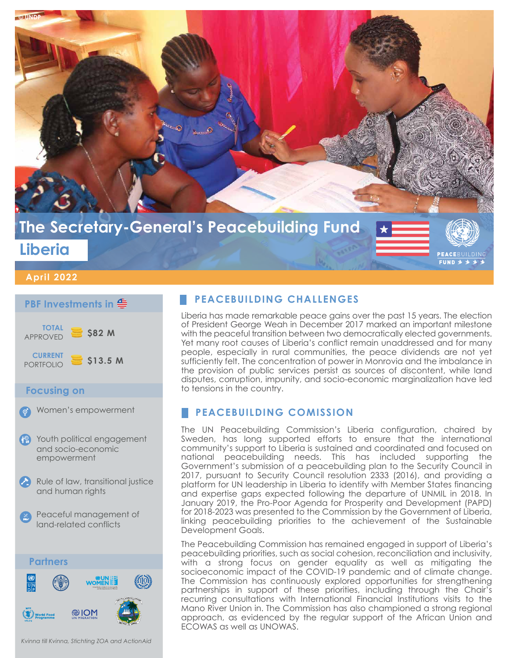

#### **April 2022**

### **PBF Investments in**



#### **Focusing on**

Women's empowerment

- Youth political engagement and socio-economic empowerment
- Rule of law, transitional justice and human rights
- Peaceful management of land-related conflicts



*Kvinna till Kvinna, Stichting ZOA and ActionAid*

## **PEACEBUILDING CHALLENGES**

Liberia has made remarkable peace gains over the past 15 years. The election of President George Weah in December 2017 marked an important milestone with the peaceful transition between two democratically elected governments. Yet many root causes of Liberia's conflict remain unaddressed and for many people, especially in rural communities, the peace dividends are not yet sufficiently felt. The concentration of power in Monrovia and the imbalance in the provision of public services persist as sources of discontent, while land disputes, corruption, impunity, and socio-economic marginalization have led to tensions in the country.

## **PEACEBUILDING COMISSION**

The UN Peacebuilding Commission's Liberia configuration, chaired by Sweden, has long supported efforts to ensure that the international community's support to Liberia is sustained and coordinated and focused on national peacebuilding needs. This has included supporting the Government's submission of a peacebuilding plan to the Security Council in 2017, pursuant to Security Council resolution 2333 (2016), and providing a platform for UN leadership in Liberia to identify with Member States financing and expertise gaps expected following the departure of UNMIL in 2018. In January 2019, the Pro-Poor Agenda for Prosperity and Development (PAPD) for 2018-2023 was presented to the Commission by the Government of Liberia, linking peacebuilding priorities to the achievement of the Sustainable Development Goals.

The Peacebuilding Commission has remained engaged in support of Liberia's peacebuilding priorities, such as social cohesion, reconciliation and inclusivity, with a strong focus on gender equality as well as mitigating the socioeconomic impact of the COVID-19 pandemic and of climate change. The Commission has continuously explored opportunities for strengthening partnerships in support of these priorities, including through the Chair's recurring consultations with International Financial Institutions visits to the Mano River Union in. The Commission has also championed a strong regional approach, as evidenced by the regular support of the African Union and ECOWAS as well as UNOWAS.